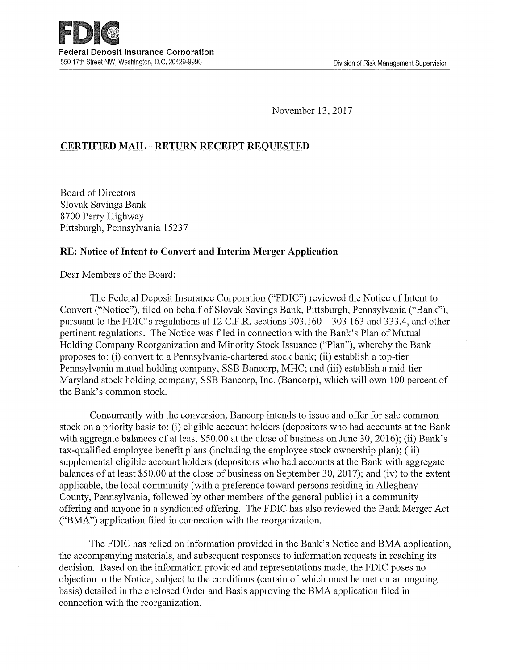November 13, 2017

# CERTIFIED MAIL -RETURN RECEIPT REQUESTED

Board of Directors Slovak Savings Bank 8700 Perry Highway Pittsburgh, Pennsylvania 15237

### RE: Notice of Intent to Convert and Interim Merger Application

Dear Members of the Board:

The Federal Deposit Insurance Corporation ("FDIC") reviewed the Notice of Intent to Convert ("Notice"), filed on behalf of Slovak Savings Bank, Pittsburgh, Pennsylvania ("Bank"), pursuant to the FDIC's regulations at 12 C.F.R. sections 303.160 — 303.163 and 333.4, and other pertinent regulations. The Notice was filed in connection with the Bank's Plan of Mutual Holding Company Reorganization and Minority Stock Issuance ("Plan"), whereby the Bank proposes to: (i) convert to a Pennsylvania-chartered stock bank; (ii) establish a top-tier Pennsylvania mutual holding company, SSB Bancorp, MHC; and (iii) establish amid-tier Maryland stock holding company, SSB Bancorp, Inc. (Bancorp), which will own 100 percent of the Bank's common stock.

Concurrently with the conversion, Bancorp intends to issue and offer for sale common stock on a priority basis to: (i) eligible account holders (depositors who had accounts at the Bank with aggregate balances of at least \$50.00 at the close of business on June 30, 2016); (ii) Bank's tax-qualified employee benefit plans (including the employee stock ownership plan); (iii) supplemental eligible account holders (depositors who had accounts at the Bank with aggregate balances of at least \$50.00 at the close of business on September 30, 2017); and (iv) to the extent applicable, the local community (with a preference toward persons residing in Allegheny County, Pennsylvania, followed by other members of the general public) in a community offering and anyone in a syndicated offering. The FDIC has also reviewed the Bank Merger Act ("BMA") application filed in connection with the reorganization.

The FDIC has relied on information provided in the Bank's Notice and BMA application, the accompanying materials, and subsequent responses to information requests in reaching its decision. Based on the information provided and representations made, the FDIC poses no objection to the Notice, subject to the conditions (certain of which must be met on an ongoing basis) detailed in the enclosed Order and Basis approving the BMA application filed in connection with the reorganization.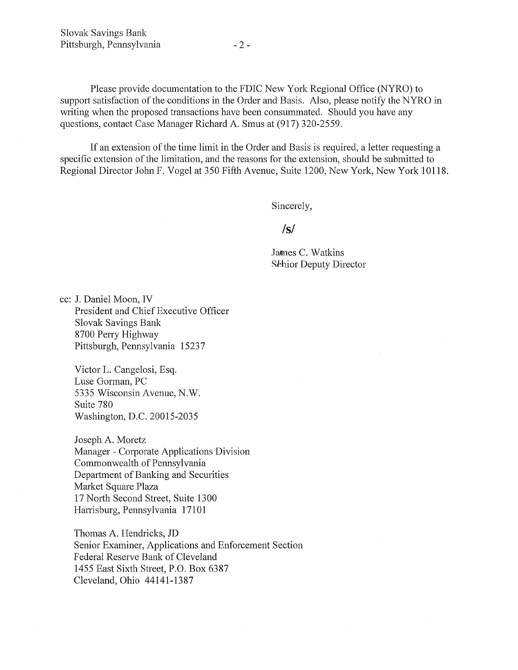Please provide documentation to the FDIC New York Regional Office (NYRO) to support satisfaction of the conditions in the Order and Basis. Also, please notify the NYRO in writing when the proposed transactions have been consummated. Should you have any questions, contact Case Manager Richard A. Smus at (917) 320-2559.

If an extension of the time limit in the Order and Basis is required, a letter requesting a specific extension of the limitation, and the reasons for the extension, should be submitted to Regional Director John F. Vogel at 350 Fifth Avenue, Suite 1200, New York, New York 10118.

Sincerely,

# **/s/**

James C. Watkins Sehior Deputy Director

cc: J. Daniel Moon, IV President and Chief Executive Officer Slovak Savings Bank 8700 Perry Highway Pittsburgh, Pennsylvania 15237

Victor L. Cangelosi, Esq. Luse Gorman, PC 5335 Wisconsin Avenue, N.W. Suite 780 Washington, D.C. 20015-2035

Joseph A. Moretz Manager -Corporate Applications Division Commonwealth of Pennsylvania Department of Banking and Securities Market Square Plaza 17 North Second Street, Suite 1300 Harrisburg, Pennsylvania 17101

Thomas A. Hendricks, JD Senior Examiner, Applications and Enforcement Section Federal Reserve Bank of Cleveland 1455 East Sixth Street, P.O. Box 6387 Cleveland, Ohio 44141-1387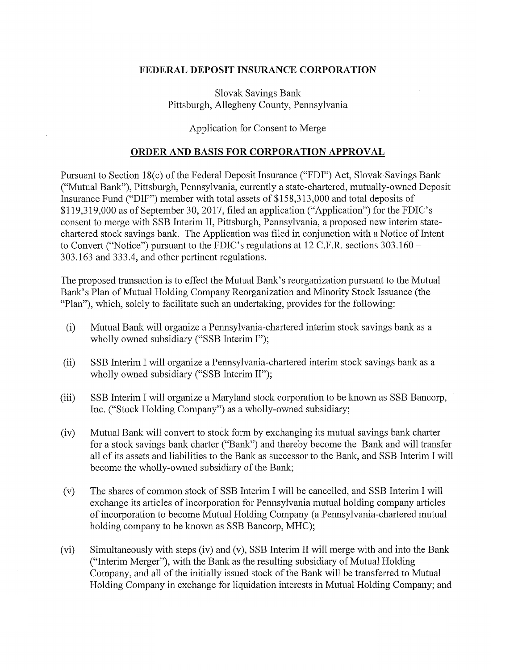#### FEDERAL DEPOSIT INSURANCE CORPORATION

Slovak Savings Bank Pittsburgh, Allegheny County, Pennsylvania

Application for Consent to Merge

#### ORDER AND BASIS FOR CORPORATION APPROVAL

Pursuant to Section 18(c) of the Federal Deposit Insurance ("FDI") Act, Slovak Savings Bank ("Mutual Bank"), Pittsburgh, Pennsylvania, currently a state-chartered, mutually-owned Deposit Insurance Fund ("DIF") member with total assets of \$158,313,000 and total deposits of \$119,319,000 as of September 30, 2017, filed an application ("Application") for the FDIC's consent to merge with SSB Interim II, Pittsburgh, Pennsylvania, a proposed new interim statechartered stock savings bank. The Application was filed in conjunction with a Notice of Intent to Convert ("Notice") pursuant to the FDIC's regulations at 12 C.F.R. sections 303.160 — 303.163 and 333.4, and other pertinent regulations.

The proposed transaction is to effect the Mutual Bank's reorganization pursuant to the Mutual Bank's Plan of Mutual Holding Company Reorganization and Minority Stock Issuance (the "Plan"), which, solely to facilitate such an undertaking, provides for the following:

- (i) Mutual Bank will organize a Pennsylvania-chartered interim stock savings bank as a wholly owned subsidiary ("SSB Interim I");
- (ii) SSB Interim I will organize a Pennsylvania-chartered interim stock savings bank as a wholly owned subsidiary ("SSB Interim II");
- (iii) SSB Interim I will organize a Maryland stock corporation to be known as SSB Bancorp, Inc. ("Stock Holding Company") as a wholly-owned subsidiary;
- (iv) Mutual Bank will convert to stock form by exchanging its mutual savings bank charter for a stock savings bank charter ("Bank") and thereby become the Bank and will transfer all of its assets and liabilities to the Bank as successor to the Bank, and SSB Interim I will become the wholly-owned subsidiary of the Bank;
- (v) The shares of common stock of SSB Interim I will be cancelled, and SSB Interim I will exchange its articles of incorporation for Pennsylvania mutual holding company articles of incorporation to become Mutual Holding Company (a Pennsylvania-chartered mutual holding company to be known as SSB Bancorp, MHC);
- (vi) Simultaneously with steps (iv) and (v), SSB Interim II will merge with and into the Bank ("Interim Merger"), with the Bank as the resulting subsidiary of Mutual Holding Company, and all of the initially issued stock of the Bank will be transferred to Mutual Holding Company in exchange for liquidation interests in Mutual Holding Company; and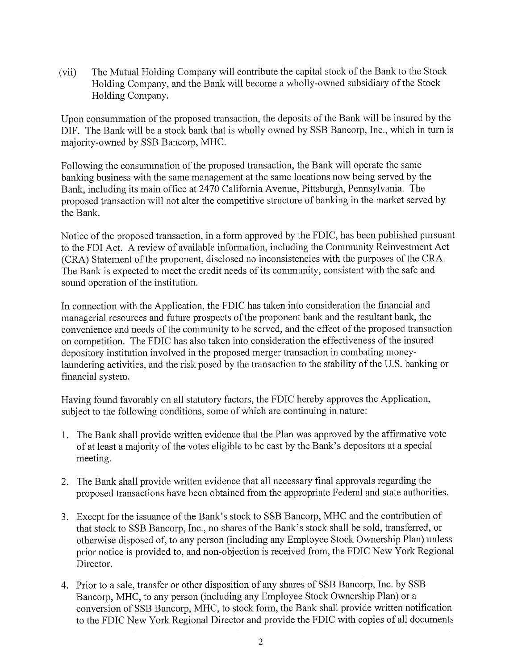(vii) The Mutual Holding Company will contribute the capital stock of the Bank to the Stock Holding Company, and the Bank will become awholly-owned subsidiary of the Stock Holding Company.

Upon consummation of the proposed transaction, the deposits of the Bank will be insured by the DIF. The Bank will be a stock bank that is wholly owned by SSB Bancorp, Inc., which in turn is majority-owned by SSB Bancorp, MHC.

Following the consummation of the proposed transaction, the Bank will operate the same banking business with the same management at the same locations now being served by the Bank, including its main office at 2470 California Avenue, Pittsburgh, Pennsylvania. The proposed transaction will not alter the competitive structure of banking in the market served by the Bank.

Notice of the proposed transaction, in a form approved by the FDIC, has been published pursuant to the FDI Act. A review of available information, including the Community Reinvestment Act (CRA) Statement of the proponent, disclosed no inconsistencies with the purposes of the CRA. The Bank is expected to meet the credit needs of its community, consistent with the safe and sound operation of the institution.

In connection with the Application, the FDIC has taken into consideration the financial and managerial resources and future prospects of the proponent bank and the resultant bank, the convenience and needs of the community to be served, and the effect of the proposed transaction on competition. The FDIC has also taken into consideration the effectiveness of the insured depository institution involved in the proposed merger transaction in combating moneylaundering activities, and the risk posed by the transaction to the stability of the U.S. banking or financial system.

Having found favorably on all statutory factors, the FDIC hereby approves the Application, subject to the following conditions, some of which are continuing in nature:

- 1. The Bank shall provide written evidence that the Plan was approved by the affirmative vote of at least a majority of the votes eligible to be cast by the Bank's depositors at a special meeting.
- 2. The Bank shall provide written evidence that all necessary final approvals regarding the proposed transactions have been obtained from the appropriate Federal and state authorities.
- 3. Except for the issuance of the Bank's stock to SSB Bancorp, MHC and the contribution of that stock to SSB Bancorp, Inc., no shares of the Bank's stock shall be sold, transferred, or otherwise disposed of, to any person (including any Employee Stock Ownership Plan) unless prior notice is provided to, and non-objection is received from, the FDIC New York Regional Director.
- 4. Prior to a sale, transfer or other disposition of any shares of SSB Bancorp, Inc. by SSB Bancorp, MHC, to any person (including any Employee Stock Ownership Plan) or a conversion of SSB Bancorp, MHC, to stock form, the Bank shall provide written notification to the FDIC New York Regional Director and provide the FDIC with copies of all documents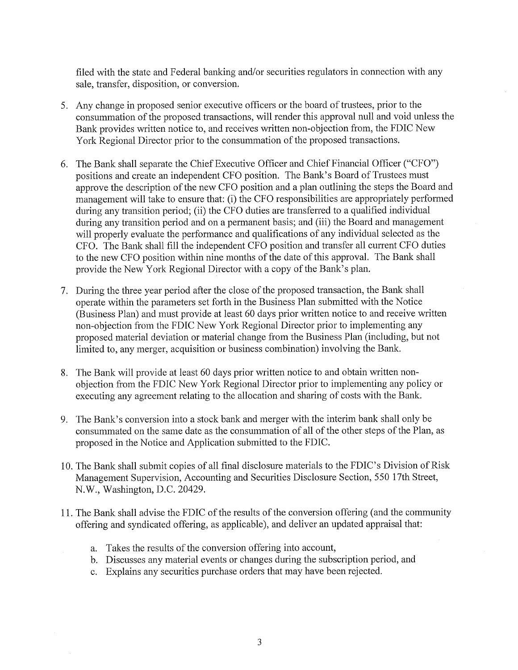filed with the state and Federal banking and/or securities regulators in connection with any sale, transfer, disposition, or conversion.

- 5. Any change in proposed senior executive officers or the board of trustees, prior to the consummation of the proposed transactions, will render this approval null and void unless the Bank provides written notice to, and receives written non-objection from, the FDIC New York Regional Director prior to the consummation of the proposed transactions.
- 6. The Bank shall separate the Chief Executive Officer and Chief Financial Officer ("CFO") positions and create an independent CFO position. The Bank's Board of Trustees must approve the description of the new CFO position and a plan outlining the steps the Board and management will take to ensure that: (i) the CFO responsibilities are appropriately performed during any transition period; (ii) the CFO duties are transferred to a qualified individual during any transition period and on a permanent basis; and (iii) the Board and management will properly evaluate the performance and qualifications of any individual selected as the CFO. The Bank shall fill the independent CFO position and transfer all current CFO duties to the new CFO position within nine months of the date of this approval. The Bank shall provide the New York Regional Director with a copy of the Bank's plan.
- 7. During the three year period after the close of the proposed transaction, the Bank shall operate within the parameters set forth in the Business Plan submitted with the Notice (Business Plan) and must provide at least 60 days prior written notice to and receive written non-objection from the FDIC New York Regional Director prior to implementing any proposed material deviation or material change from the Business Plan (including, but not limited to, any merger, acquisition or business combination) involving the Bank.
- 8. The Bank will provide at least 60 days prior written notice to and obtain written nonobjection from the FDIC New York Regional Director prior to implementing any policy or executing any agreement relating to the allocation and sharing of costs with the Bank.
- 9. The Bank's conversion into a stock bank and merger with the interim bank shall only be consummated on the same date as the consummation of all of the other steps of the Plan, as proposed in the Notice and Application submitted to the FDIC.
- 10. The Bank shall submit copies of all final disclosure materials to the FDIC's Division of Risk Management Supervision, Accounting and Securities Disclosure Section, 550 17th Street, N.W., Washington, D.C. 20429.
- 11. The Bank shall advise the FDIC of the results of the conversion offering (and the community offering and syndicated offering, as applicable), and deliver an updated appraisal that:
	- a. Takes the results of the conversion offering into account,
	- b. Discusses any material events or changes during the subscription period, and
	- c. Explains any securities purchase orders that may have been rejected.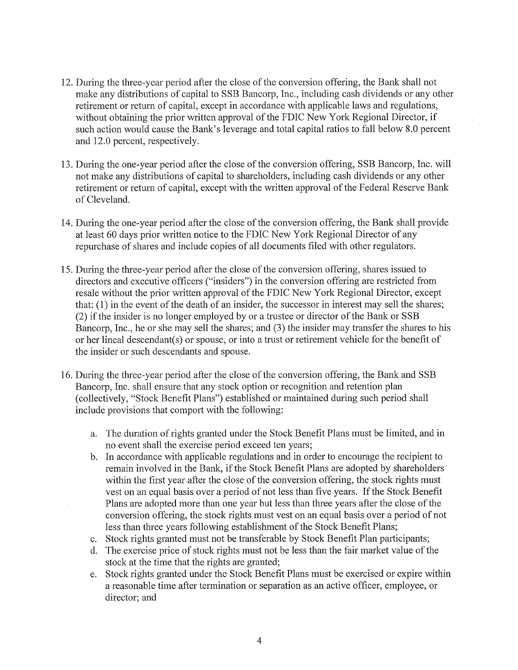- 12. During the three-year period after the close of the conversion offering, the Bank shall not make any distributions of capital to SSB Bancorp, Inc., including cash dividends or any other retirement or return of capital, except in accordance with applicable laws and regulations, without obtaining the prior written approval of the FDIC New York Regional Director, if such action would cause the Bank's leverage and total capital ratios to fall below 8.0 percent and 12.0 percent, respectively.
- 13. During the one-year period after the close of the conversion offering, SSB Bancorp, Inc. will not make any distributions of capital to shareholders, including cash dividends or any other retirement or return of capital, except with the written approval of the Federal Reserve Bank of Cleveland.
- 14. During the one-year period after the close of the conversion offering, the Bank shall provide at least 60 days prior written notice to the FDIC New York Regional Director of any repurchase of shares and include copies of all documents filed with other regulators.
- 15. During the three-year period after the close of the conversion offering, shares issued to directors and executive officers ("insiders") in the conversion offering are restricted from resale without the prior written approval of the FDIC New York Regional Director, except that: (1) in the event of the death of an insider, the successor in interest may sell the shares; (2) if the insider is no longer employed by or a trustee or director of the Bank or SSB Bancorp, Inc., he or she may sell the shares; and (3) the insider may transfer the shares to his or her lineal descendant(s) or spouse, or into a trust or retirement vehicle for the benefit of the insider or such descendants and spouse.
- 16. During the three-year period after the close of the conversion offering, the Bank and SSB Bancorp, Inc. shall ensure that any stock option or recognition and retention plan (collectively, "Stock Benefit Plans") established or maintained during such period shall include provisions that comport with the following:
	- a. The duration of rights granted under the Stock Benefit Plans must be limited, and in no event shall the exercise period exceed ten years;
	- b. In accordance with applicable regulations and in order to encourage the recipient to remain involved in the Bank, if the Stock Benefit Plans are adopted by shareholders within the first year after the close of the conversion offering, the stock rights must vest on an equal basis over a period of not less than five years. If the Stock Benefit Plans are adopted more than one year but less than three years after the close of the conversion offering, the stock rights must vest on an equal basis over a period of not less than three years following establishment of the Stock Benefit Plans;
	- c. Stock rights granted must not be transferable by Stock Benefit Plan participants;
	- d. The exercise price of stock rights must not be less than the fair market value of the stock at the time that the rights are granted;
	- e. Stock rights granted under the Stock Benefit Plans must be exercised or expire within a reasonable time after termination or separation as an active officer, employee, or director; and